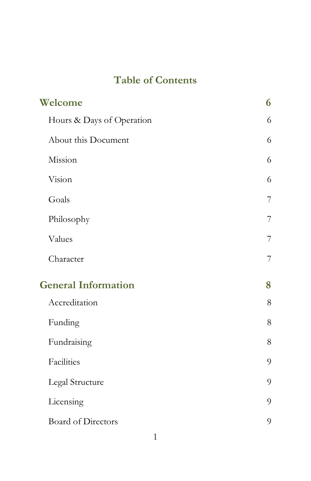# **Table of Contents**

| Welcome                    |   |
|----------------------------|---|
| Hours & Days of Operation  | 6 |
| About this Document        | 6 |
| Mission                    | 6 |
| Vision                     | 6 |
| Goals                      | 7 |
| Philosophy                 | 7 |
| Values                     | 7 |
| Character                  | 7 |
| <b>General Information</b> | 8 |
| Accreditation              | 8 |
| Funding                    | 8 |
| Fundraising                | 8 |
| Facilities                 | 9 |
| Legal Structure            | 9 |
| Licensing                  | 9 |
| <b>Board of Directors</b>  | 9 |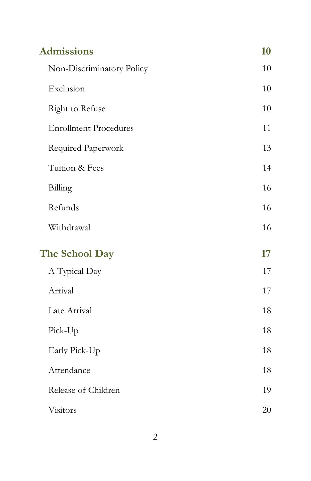| <b>Admissions</b>            | 10 |
|------------------------------|----|
| Non-Discriminatory Policy    | 10 |
| Exclusion                    | 10 |
| Right to Refuse              | 10 |
| <b>Enrollment Procedures</b> | 11 |
| Required Paperwork           | 13 |
| Tuition & Fees               | 14 |
| Billing                      | 16 |
| Refunds                      | 16 |
| Withdrawal                   | 16 |
| The School Day               | 17 |
| A Typical Day                | 17 |
| Arrival                      | 17 |
| Late Arrival                 | 18 |
| Pick-Up                      | 18 |
| Early Pick-Up                | 18 |
| Attendance                   | 18 |
| Release of Children          | 19 |
| Visitors                     | 20 |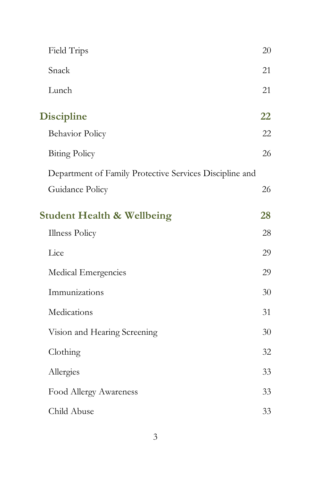| Field Trips                                             | 20 |
|---------------------------------------------------------|----|
| Snack                                                   | 21 |
| Lunch                                                   | 21 |
| <b>Discipline</b>                                       | 22 |
| <b>Behavior Policy</b>                                  | 22 |
| <b>Biting Policy</b>                                    | 26 |
| Department of Family Protective Services Discipline and |    |
| Guidance Policy                                         | 26 |
| <b>Student Health &amp; Wellbeing</b>                   | 28 |
| <b>Illness Policy</b>                                   | 28 |
| Lice                                                    | 29 |
| Medical Emergencies                                     | 29 |
| Immunizations                                           | 30 |
| Medications                                             | 31 |
| Vision and Hearing Screening                            | 30 |
| Clothing                                                | 32 |
| Allergies                                               | 33 |
| Food Allergy Awareness                                  | 33 |
| Child Abuse                                             | 33 |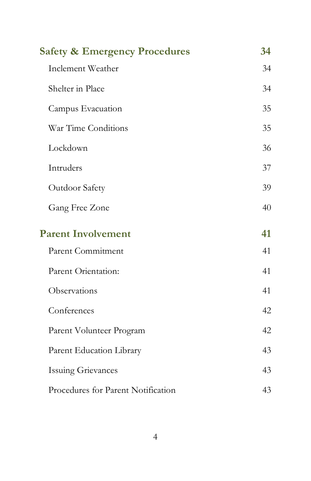| <b>Safety &amp; Emergency Procedures</b><br>34 |    |
|------------------------------------------------|----|
| Inclement Weather                              | 34 |
| Shelter in Place                               | 34 |
| Campus Evacuation                              | 35 |
| War Time Conditions                            | 35 |
| Lockdown                                       | 36 |
| Intruders                                      | 37 |
| Outdoor Safety                                 | 39 |
| Gang Free Zone                                 | 40 |
| <b>Parent Involvement</b>                      | 41 |
| Parent Commitment                              | 41 |
| Parent Orientation:                            | 41 |
| Observations                                   | 41 |
| Conferences                                    | 42 |
| Parent Volunteer Program                       | 42 |
| Parent Education Library                       | 43 |
| <b>Issuing Grievances</b>                      | 43 |
| Procedures for Parent Notification             | 43 |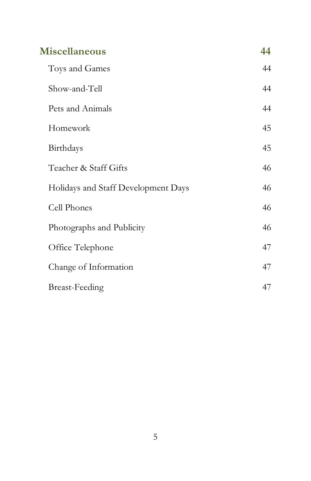| Miscellaneous                       | 44 |
|-------------------------------------|----|
| Toys and Games                      | 44 |
| Show-and-Tell                       | 44 |
| Pets and Animals                    | 44 |
| Homework                            | 45 |
| Birthdays                           | 45 |
| Teacher & Staff Gifts               | 46 |
| Holidays and Staff Development Days | 46 |
| Cell Phones                         | 46 |
| Photographs and Publicity           | 46 |
| Office Telephone                    | 47 |
| Change of Information               | 47 |
| <b>Breast-Feeding</b>               | 47 |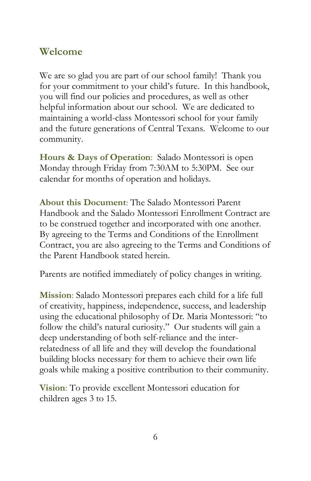### <span id="page-5-0"></span>**Welcome**

We are so glad you are part of our school family! Thank you for your commitment to your child's future. In this handbook, you will find our policies and procedures, as well as other helpful information about our school. We are dedicated to maintaining a world-class Montessori school for your family and the future generations of Central Texans. Welcome to our community.

<span id="page-5-1"></span>**Hours & Days of Operation**: Salado Montessori is open Monday through Friday from 7:30AM to 5:30PM. See our calendar for months of operation and holidays.

<span id="page-5-2"></span>**About this Document**: The Salado Montessori Parent Handbook and the Salado Montessori Enrollment Contract are to be construed together and incorporated with one another. By agreeing to the Terms and Conditions of the Enrollment Contract, you are also agreeing to the Terms and Conditions of the Parent Handbook stated herein.

Parents are notified immediately of policy changes in writing.

<span id="page-5-3"></span>**Mission**: Salado Montessori prepares each child for a life full of creativity, happiness, independence, success, and leadership using the educational philosophy of Dr. Maria Montessori: "to follow the child's natural curiosity." Our students will gain a deep understanding of both self-reliance and the interrelatedness of all life and they will develop the foundational building blocks necessary for them to achieve their own life goals while making a positive contribution to their community.

<span id="page-5-4"></span>**Vision**: To provide excellent Montessori education for children ages 3 to 15.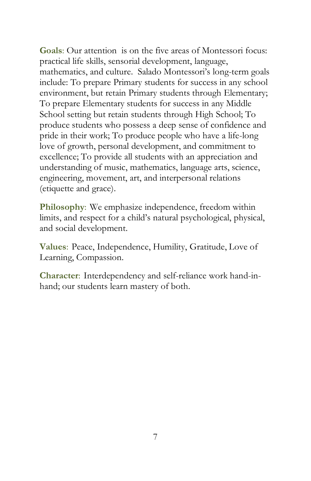<span id="page-6-0"></span>**Goals**: Our attention is on the five areas of Montessori focus: practical life skills, sensorial development, language, mathematics, and culture. Salado Montessori's long-term goals include: To prepare Primary students for success in any school environment, but retain Primary students through Elementary; To prepare Elementary students for success in any Middle School setting but retain students through High School; To produce students who possess a deep sense of confidence and pride in their work; To produce people who have a life-long love of growth, personal development, and commitment to excellence; To provide all students with an appreciation and understanding of music, mathematics, language arts, science, engineering, movement, art, and interpersonal relations (etiquette and grace).

<span id="page-6-1"></span>**Philosophy**: We emphasize independence, freedom within limits, and respect for a child's natural psychological, physical, and social development.

<span id="page-6-2"></span>**Values**: Peace, Independence, Humility, Gratitude, Love of Learning, Compassion.

<span id="page-6-3"></span>**Character**: Interdependency and self-reliance work hand-inhand; our students learn mastery of both.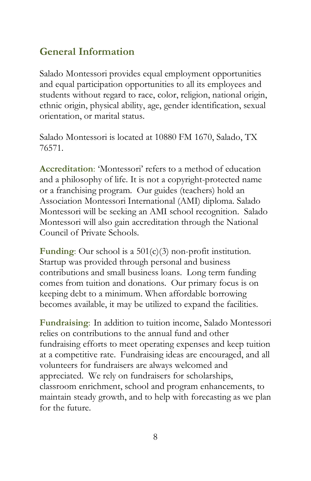### <span id="page-7-0"></span>**General Information**

Salado Montessori provides equal employment opportunities and equal participation opportunities to all its employees and students without regard to race, color, religion, national origin, ethnic origin, physical ability, age, gender identification, sexual orientation, or marital status.

Salado Montessori is located at 10880 FM 1670, Salado, TX 76571.

<span id="page-7-1"></span>**Accreditation**: 'Montessori' refers to a method of education and a philosophy of life. It is not a copyright-protected name or a franchising program. Our guides (teachers) hold an Association Montessori International (AMI) diploma. Salado Montessori will be seeking an AMI school recognition. Salado Montessori will also gain accreditation through the National Council of Private Schools.

<span id="page-7-2"></span>**Funding**: Our school is a 501(c)(3) non-profit institution. Startup was provided through personal and business contributions and small business loans. Long term funding comes from tuition and donations. Our primary focus is on keeping debt to a minimum. When affordable borrowing becomes available, it may be utilized to expand the facilities.

<span id="page-7-3"></span>**Fundraising**: In addition to tuition income, Salado Montessori relies on contributions to the annual fund and other fundraising efforts to meet operating expenses and keep tuition at a competitive rate. Fundraising ideas are encouraged, and all volunteers for fundraisers are always welcomed and appreciated. We rely on fundraisers for scholarships, classroom enrichment, school and program enhancements, to maintain steady growth, and to help with forecasting as we plan for the future.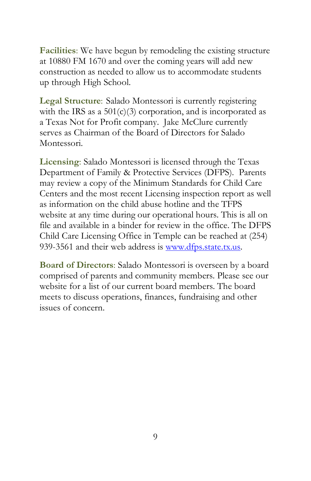<span id="page-8-0"></span>**Facilities**: We have begun by remodeling the existing structure at 10880 FM 1670 and over the coming years will add new construction as needed to allow us to accommodate students up through High School.

<span id="page-8-1"></span>**Legal Structure**: Salado Montessori is currently registering with the IRS as a  $501(c)(3)$  corporation, and is incorporated as a Texas Not for Profit company. Jake McClure currently serves as Chairman of the Board of Directors for Salado Montessori.

<span id="page-8-2"></span>**Licensing**: Salado Montessori is licensed through the Texas Department of Family & Protective Services (DFPS). Parents may review a copy of the Minimum Standards for Child Care Centers and the most recent Licensing inspection report as well as information on the child abuse hotline and the TFPS website at any time during our operational hours. This is all on file and available in a binder for review in the office. The DFPS Child Care Licensing Office in Temple can be reached at (254) 939-3561 and their web address is [www.dfps.state.tx.us.](http://www.dfps.state.tx.us/)

<span id="page-8-3"></span>**Board of Directors**: Salado Montessori is overseen by a board comprised of parents and community members. Please see our website for a list of our current board members. The board meets to discuss operations, finances, fundraising and other issues of concern.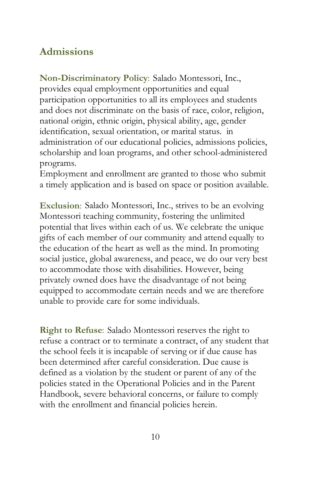### <span id="page-9-0"></span>**Admissions**

<span id="page-9-1"></span>**Non-Discriminatory Policy**: Salado Montessori, Inc., provides equal employment opportunities and equal participation opportunities to all its employees and students and does not discriminate on the basis of race, color, religion, national origin, ethnic origin, physical ability, age, gender identification, sexual orientation, or marital status. in administration of our educational policies, admissions policies, scholarship and loan programs, and other school-administered programs.

Employment and enrollment are granted to those who submit a timely application and is based on space or position available.

<span id="page-9-2"></span>**Exclusion**: Salado Montessori, Inc., strives to be an evolving Montessori teaching community, fostering the unlimited potential that lives within each of us. We celebrate the unique gifts of each member of our community and attend equally to the education of the heart as well as the mind. In promoting social justice, global awareness, and peace, we do our very best to accommodate those with disabilities. However, being privately owned does have the disadvantage of not being equipped to accommodate certain needs and we are therefore unable to provide care for some individuals.

<span id="page-9-3"></span>**Right to Refuse**: Salado Montessori reserves the right to refuse a contract or to terminate a contract, of any student that the school feels it is incapable of serving or if due cause has been determined after careful consideration. Due cause is defined as a violation by the student or parent of any of the policies stated in the Operational Policies and in the Parent Handbook, severe behavioral concerns, or failure to comply with the enrollment and financial policies herein.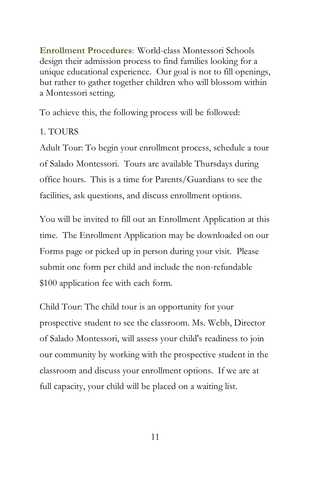<span id="page-10-0"></span>**Enrollment Procedures**: World-class Montessori Schools design their admission process to find families looking for a unique educational experience. Our goal is not to fill openings, but rather to gather together children who will blossom within a Montessori setting.

To achieve this, the following process will be followed:

#### 1. TOURS

Adult Tour: To begin your enrollment process, schedule a tour of Salado Montessori. Tours are available Thursdays during office hours. This is a time for Parents/Guardians to see the facilities, ask questions, and discuss enrollment options.

You will be invited to fill out an Enrollment Application at this time. The Enrollment Application may be downloaded on our Forms page or picked up in person during your visit. Please submit one form per child and include the non-refundable \$100 application fee with each form.

Child Tour: The child tour is an opportunity for your prospective student to see the classroom. Ms. Webb, Director of Salado Montessori, will assess your child's readiness to join our community by working with the prospective student in the classroom and discuss your enrollment options. If we are at full capacity, your child will be placed on a waiting list.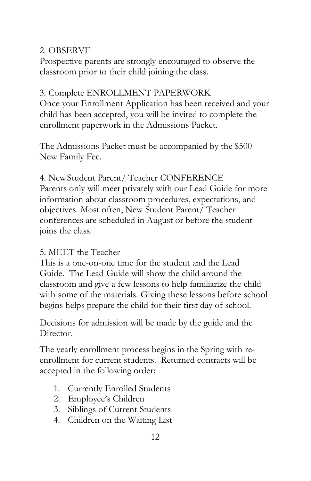#### 2. OBSERVE

Prospective parents are strongly encouraged to observe the classroom prior to their child joining the class.

#### 3. Complete ENROLLMENT PAPERWORK

Once your Enrollment Application has been received and your child has been accepted, you will be invited to complete the enrollment paperwork in the Admissions Packet.

The Admissions Packet must be accompanied by the \$500 New Family Fee.

4. NewStudent Parent/ Teacher CONFERENCE Parents only will meet privately with our Lead Guide for more information about classroom procedures, expectations, and objectives. Most often, New Student Parent/ Teacher conferences are scheduled in August or before the student joins the class.

#### 5. MEET the Teacher

This is a one-on-one time for the student and the Lead Guide. The Lead Guide will show the child around the classroom and give a few lessons to help familiarize the child with some of the materials. Giving these lessons before school begins helps prepare the child for their first day of school.

Decisions for admission will be made by the guide and the Director.

The yearly enrollment process begins in the Spring with reenrollment for current students. Returned contracts will be accepted in the following order:

- 1. Currently Enrolled Students
- 2. Employee's Children
- 3. Siblings of Current Students
- 4. Children on the Waiting List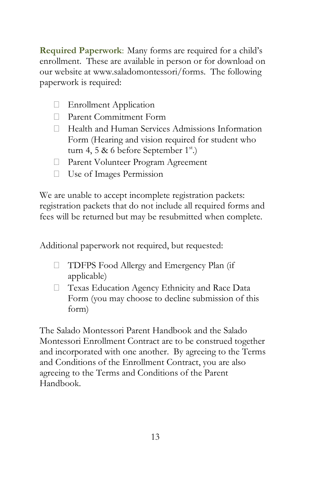<span id="page-12-0"></span>**Required Paperwork**: Many forms are required for a child's enrollment. These are available in person or for download on our website at www.saladomontessori/forms. The following paperwork is required:

- **Enrollment Application**
- □ Parent Commitment Form
- $\Box$  Health and Human Services Admissions Information Form (Hearing and vision required for student who turn 4, 5 & 6 before September  $1^{st}$ .)
- Parent Volunteer Program Agreement
- Use of Images Permission

We are unable to accept incomplete registration packets: registration packets that do not include all required forms and fees will be returned but may be resubmitted when complete.

Additional paperwork not required, but requested:

- TDFPS Food Allergy and Emergency Plan (if applicable)
- □ Texas Education Agency Ethnicity and Race Data Form (you may choose to decline submission of this form)

The Salado Montessori Parent Handbook and the Salado Montessori Enrollment Contract are to be construed together and incorporated with one another. By agreeing to the Terms and Conditions of the Enrollment Contract, you are also agreeing to the Terms and Conditions of the Parent Handbook.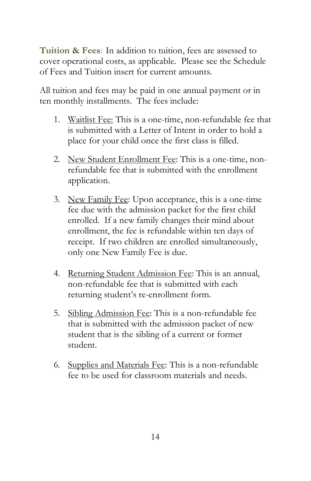<span id="page-13-0"></span>**Tuition & Fees**: In addition to tuition, fees are assessed to cover operational costs, as applicable. Please see the Schedule of Fees and Tuition insert for current amounts.

All tuition and fees may be paid in one annual payment or in ten monthly installments. The fees include:

- 1. Waitlist Fee: This is a one-time, non-refundable fee that is submitted with a Letter of Intent in order to hold a place for your child once the first class is filled.
- 2. New Student Enrollment Fee: This is a one-time, nonrefundable fee that is submitted with the enrollment application.
- 3. New Family Fee: Upon acceptance, this is a one-time fee due with the admission packet for the first child enrolled. If a new family changes their mind about enrollment, the fee is refundable within ten days of receipt. If two children are enrolled simultaneously, only one New Family Fee is due.
- 4. Returning Student Admission Fee: This is an annual, non-refundable fee that is submitted with each returning student's re-enrollment form.
- 5. Sibling Admission Fee: This is a non-refundable fee that is submitted with the admission packet of new student that is the sibling of a current or former student.
- 6. Supplies and Materials Fee: This is a non-refundable fee to be used for classroom materials and needs.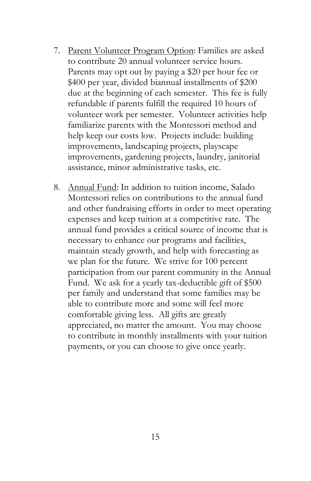- 7. Parent Volunteer Program Option: Families are asked to contribute 20 annual volunteer service hours. Parents may opt out by paying a \$20 per hour fee or \$400 per year, divided biannual installments of \$200 due at the beginning of each semester. This fee is fully refundable if parents fulfill the required 10 hours of volunteer work per semester. Volunteer activities help familiarize parents with the Montessori method and help keep our costs low. Projects include: building improvements, landscaping projects, playscape improvements, gardening projects, laundry, janitorial assistance, minor administrative tasks, etc.
- <span id="page-14-0"></span>8. Annual Fund: In addition to tuition income, Salado Montessori relies on contributions to the annual fund and other fundraising efforts in order to meet operating expenses and keep tuition at a competitive rate. The annual fund provides a critical source of income that is necessary to enhance our programs and facilities, maintain steady growth, and help with forecasting as we plan for the future. We strive for 100 percent participation from our parent community in the Annual Fund. We ask for a yearly tax-deductible gift of \$500 per family and understand that some families may be able to contribute more and some will feel more comfortable giving less. All gifts are greatly appreciated, no matter the amount. You may choose to contribute in monthly installments with your tuition payments, or you can choose to give once yearly.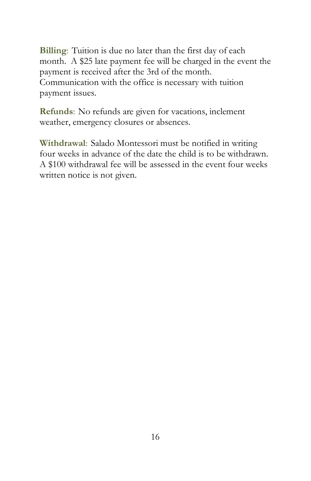**Billing**: Tuition is due no later than the first day of each month. A \$25 late payment fee will be charged in the event the payment is received after the 3rd of the month. Communication with the office is necessary with tuition payment issues.

<span id="page-15-0"></span>**Refunds**: No refunds are given for vacations, inclement weather, emergency closures or absences.

<span id="page-15-1"></span>**Withdrawal**: Salado Montessori must be notified in writing four weeks in advance of the date the child is to be withdrawn. A \$100 withdrawal fee will be assessed in the event four weeks written notice is not given.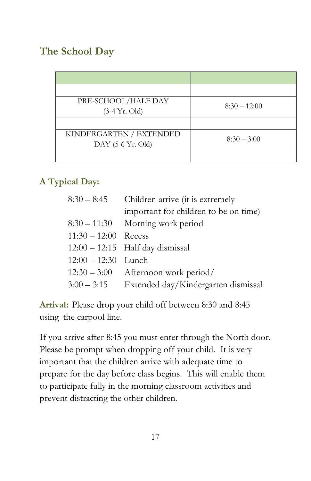## <span id="page-16-0"></span>**The School Day**

| PRE-SCHOOL/HALF DAY<br>$(3-4 \text{ Yr. Old})$ | $8:30 - 12:00$ |
|------------------------------------------------|----------------|
|                                                |                |
| KINDERGARTEN / EXTENDED<br>DAY (5-6 Yr. Old)   | $8:30 - 3:00$  |
|                                                |                |

#### <span id="page-16-1"></span>**A Typical Day:**

| $8:30 - 8:45$         | Children arrive (it is extremely      |
|-----------------------|---------------------------------------|
|                       | important for children to be on time) |
| $8:30 - 11:30$        | Morning work period                   |
| $11:30 - 12:00$       | Recess                                |
|                       | $12:00 - 12:15$ Half day dismissal    |
| $12:00 - 12:30$ Lunch |                                       |
| $12:30 - 3:00$        | Afternoon work period/                |
| $3:00 - 3:15$         | Extended day/Kindergarten dismissal   |
|                       |                                       |

<span id="page-16-2"></span>**Arrival:** Please drop your child off between 8:30 and 8:45 using the carpool line.

If you arrive after 8:45 you must enter through the North door. Please be prompt when dropping off your child. It is very important that the children arrive with adequate time to prepare for the day before class begins. This will enable them to participate fully in the morning classroom activities and prevent distracting the other children.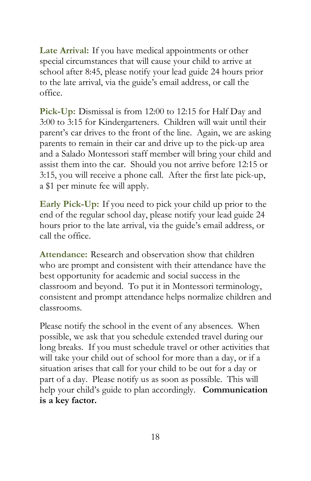<span id="page-17-0"></span>**Late Arrival:** If you have medical appointments or other special circumstances that will cause your child to arrive at school after 8:45, please notify your lead guide 24 hours prior to the late arrival, via the guide's email address, or call the office.

<span id="page-17-1"></span>Pick-Up: Dismissal is from 12:00 to 12:15 for Half Day and 3:00 to 3:15 for Kindergarteners. Children will wait until their parent's car drives to the front of the line. Again, we are asking parents to remain in their car and drive up to the pick-up area and a Salado Montessori staff member will bring your child and assist them into the car. Should you not arrive before 12:15 or 3:15, you will receive a phone call. After the first late pick-up, a \$1 per minute fee will apply.

<span id="page-17-2"></span>**Early Pick-Up:** If you need to pick your child up prior to the end of the regular school day, please notify your lead guide 24 hours prior to the late arrival, via the guide's email address, or call the office.

<span id="page-17-3"></span>**Attendance:** Research and observation show that children who are prompt and consistent with their attendance have the best opportunity for academic and social success in the classroom and beyond. To put it in Montessori terminology, consistent and prompt attendance helps normalize children and classrooms.

Please notify the school in the event of any absences. When possible, we ask that you schedule extended travel during our long breaks. If you must schedule travel or other activities that will take your child out of school for more than a day, or if a situation arises that call for your child to be out for a day or part of a day. Please notify us as soon as possible. This will help your child's guide to plan accordingly. **Communication is a key factor.**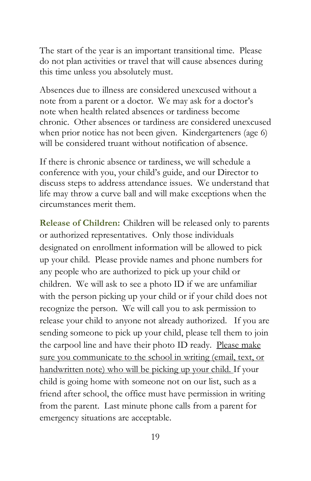The start of the year is an important transitional time. Please do not plan activities or travel that will cause absences during this time unless you absolutely must.

Absences due to illness are considered unexcused without a note from a parent or a doctor. We may ask for a doctor's note when health related absences or tardiness become chronic. Other absences or tardiness are considered unexcused when prior notice has not been given. Kindergarteners (age 6) will be considered truant without notification of absence.

If there is chronic absence or tardiness, we will schedule a conference with you, your child's guide, and our Director to discuss steps to address attendance issues. We understand that life may throw a curve ball and will make exceptions when the circumstances merit them.

<span id="page-18-0"></span>**Release of Children:** Children will be released only to parents or authorized representatives. Only those individuals designated on enrollment information will be allowed to pick up your child. Please provide names and phone numbers for any people who are authorized to pick up your child or children. We will ask to see a photo ID if we are unfamiliar with the person picking up your child or if your child does not recognize the person. We will call you to ask permission to release your child to anyone not already authorized. If you are sending someone to pick up your child, please tell them to join the carpool line and have their photo ID ready. Please make sure you communicate to the school in writing (email, text, or handwritten note) who will be picking up your child. If your child is going home with someone not on our list, such as a friend after school, the office must have permission in writing from the parent. Last minute phone calls from a parent for emergency situations are acceptable.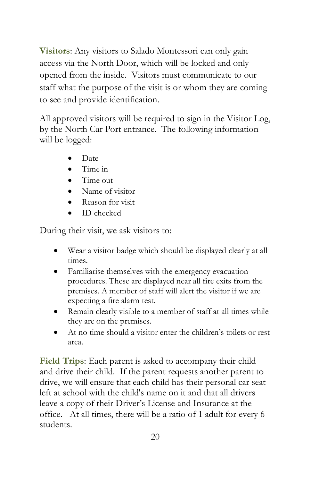<span id="page-19-0"></span>**Visitors**: Any visitors to Salado Montessori can only gain access via the North Door, which will be locked and only opened from the inside. Visitors must communicate to our staff what the purpose of the visit is or whom they are coming to see and provide identification.

All approved visitors will be required to sign in the Visitor Log, by the North Car Port entrance. The following information will be logged:

- Date
- Time in
- Time out
- Name of visitor
- Reason for visit
- ID checked

During their visit, we ask visitors to:

- Wear a visitor badge which should be displayed clearly at all times.
- Familiarise themselves with the emergency evacuation procedures. These are displayed near all fire exits from the premises. A member of staff will alert the visitor if we are expecting a fire alarm test.
- Remain clearly visible to a member of staff at all times while they are on the premises.
- At no time should a visitor enter the children's toilets or rest area.

<span id="page-19-1"></span>**Field Trips**: Each parent is asked to accompany their child and drive their child. If the parent requests another parent to drive, we will ensure that each child has their personal car seat left at school with the child's name on it and that all drivers leave a copy of their Driver's License and Insurance at the office. At all times, there will be a ratio of 1 adult for every 6 students.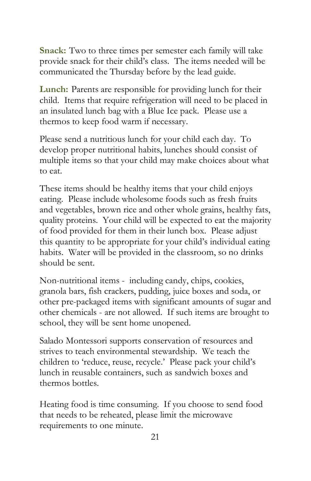<span id="page-20-0"></span>**Snack:** Two to three times per semester each family will take provide snack for their child's class. The items needed will be communicated the Thursday before by the lead guide.

<span id="page-20-1"></span>**Lunch:** Parents are responsible for providing lunch for their child. Items that require refrigeration will need to be placed in an insulated lunch bag with a Blue Ice pack. Please use a thermos to keep food warm if necessary.

Please send a nutritious lunch for your child each day. To develop proper nutritional habits, lunches should consist of multiple items so that your child may make choices about what to eat.

These items should be healthy items that your child enjoys eating. Please include wholesome foods such as fresh fruits and vegetables, brown rice and other whole grains, healthy fats, quality proteins. Your child will be expected to eat the majority of food provided for them in their lunch box. Please adjust this quantity to be appropriate for your child's individual eating habits. Water will be provided in the classroom, so no drinks should be sent.

Non-nutritional items - including candy, chips, cookies, granola bars, fish crackers, pudding, juice boxes and soda, or other pre-packaged items with significant amounts of sugar and other chemicals - are not allowed. If such items are brought to school, they will be sent home unopened.

Salado Montessori supports conservation of resources and strives to teach environmental stewardship. We teach the children to 'reduce, reuse, recycle.' Please pack your child's lunch in reusable containers, such as sandwich boxes and thermos bottles.

Heating food is time consuming. If you choose to send food that needs to be reheated, please limit the microwave requirements to one minute.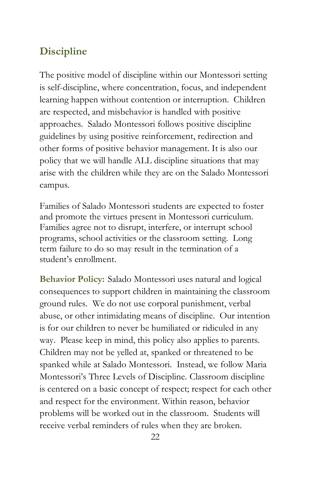### <span id="page-21-0"></span>**Discipline**

The positive model of discipline within our Montessori setting is self-discipline, where concentration, focus, and independent learning happen without contention or interruption. Children are respected, and misbehavior is handled with positive approaches. Salado Montessori follows positive discipline guidelines by using positive reinforcement, redirection and other forms of positive behavior management. It is also our policy that we will handle ALL discipline situations that may arise with the children while they are on the Salado Montessori campus.

Families of Salado Montessori students are expected to foster and promote the virtues present in Montessori curriculum. Families agree not to disrupt, interfere, or interrupt school programs, school activities or the classroom setting. Long term failure to do so may result in the termination of a student's enrollment.

<span id="page-21-1"></span>**Behavior Policy:** Salado Montessori uses natural and logical consequences to support children in maintaining the classroom ground rules. We do not use corporal punishment, verbal abuse, or other intimidating means of discipline. Our intention is for our children to never be humiliated or ridiculed in any way. Please keep in mind, this policy also applies to parents. Children may not be yelled at, spanked or threatened to be spanked while at Salado Montessori. Instead, we follow Maria Montessori's Three Levels of Discipline. Classroom discipline is centered on a basic concept of respect; respect for each other and respect for the environment. Within reason, behavior problems will be worked out in the classroom. Students will receive verbal reminders of rules when they are broken.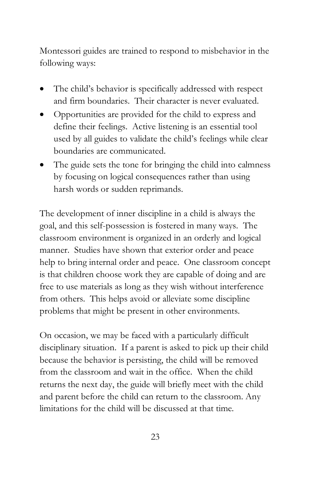Montessori guides are trained to respond to misbehavior in the following ways:

- The child's behavior is specifically addressed with respect and firm boundaries. Their character is never evaluated.
- Opportunities are provided for the child to express and define their feelings. Active listening is an essential tool used by all guides to validate the child's feelings while clear boundaries are communicated.
- The guide sets the tone for bringing the child into calmness by focusing on logical consequences rather than using harsh words or sudden reprimands.

The development of inner discipline in a child is always the goal, and this self-possession is fostered in many ways. The classroom environment is organized in an orderly and logical manner. Studies have shown that exterior order and peace help to bring internal order and peace. One classroom concept is that children choose work they are capable of doing and are free to use materials as long as they wish without interference from others. This helps avoid or alleviate some discipline problems that might be present in other environments.

On occasion, we may be faced with a particularly difficult disciplinary situation. If a parent is asked to pick up their child because the behavior is persisting, the child will be removed from the classroom and wait in the office. When the child returns the next day, the guide will briefly meet with the child and parent before the child can return to the classroom. Any limitations for the child will be discussed at that time.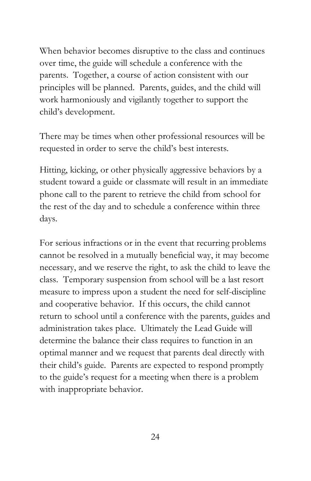When behavior becomes disruptive to the class and continues over time, the guide will schedule a conference with the parents. Together, a course of action consistent with our principles will be planned. Parents, guides, and the child will work harmoniously and vigilantly together to support the child's development.

There may be times when other professional resources will be requested in order to serve the child's best interests.

Hitting, kicking, or other physically aggressive behaviors by a student toward a guide or classmate will result in an immediate phone call to the parent to retrieve the child from school for the rest of the day and to schedule a conference within three days.

For serious infractions or in the event that recurring problems cannot be resolved in a mutually beneficial way, it may become necessary, and we reserve the right, to ask the child to leave the class. Temporary suspension from school will be a last resort measure to impress upon a student the need for self-discipline and cooperative behavior. If this occurs, the child cannot return to school until a conference with the parents, guides and administration takes place. Ultimately the Lead Guide will determine the balance their class requires to function in an optimal manner and we request that parents deal directly with their child's guide. Parents are expected to respond promptly to the guide's request for a meeting when there is a problem with inappropriate behavior.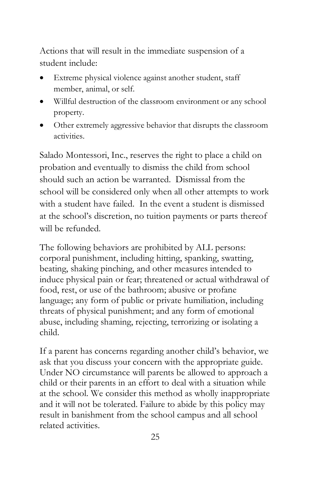Actions that will result in the immediate suspension of a student include:

- Extreme physical violence against another student, staff member, animal, or self.
- Willful destruction of the classroom environment or any school property.
- Other extremely aggressive behavior that disrupts the classroom activities.

Salado Montessori, Inc., reserves the right to place a child on probation and eventually to dismiss the child from school should such an action be warranted. Dismissal from the school will be considered only when all other attempts to work with a student have failed. In the event a student is dismissed at the school's discretion, no tuition payments or parts thereof will be refunded.

The following behaviors are prohibited by ALL persons: corporal punishment, including hitting, spanking, swatting, beating, shaking pinching, and other measures intended to induce physical pain or fear; threatened or actual withdrawal of food, rest, or use of the bathroom; abusive or profane language; any form of public or private humiliation, including threats of physical punishment; and any form of emotional abuse, including shaming, rejecting, terrorizing or isolating a child.

If a parent has concerns regarding another child's behavior, we ask that you discuss your concern with the appropriate guide. Under NO circumstance will parents be allowed to approach a child or their parents in an effort to deal with a situation while at the school. We consider this method as wholly inappropriate and it will not be tolerated. Failure to abide by this policy may result in banishment from the school campus and all school related activities.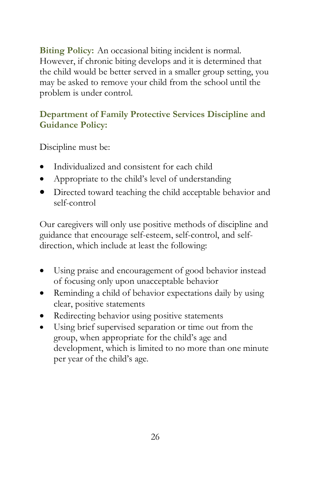<span id="page-25-0"></span>**Biting Policy:** An occasional biting incident is normal. However, if chronic biting develops and it is determined that the child would be better served in a smaller group setting, you may be asked to remove your child from the school until the problem is under control.

#### <span id="page-25-1"></span>**Department of Family Protective Services Discipline and Guidance Policy:**

Discipline must be:

- Individualized and consistent for each child
- Appropriate to the child's level of understanding
- Directed toward teaching the child acceptable behavior and self-control

Our caregivers will only use positive methods of discipline and guidance that encourage self-esteem, self-control, and selfdirection, which include at least the following:

- Using praise and encouragement of good behavior instead of focusing only upon unacceptable behavior
- Reminding a child of behavior expectations daily by using clear, positive statements
- Redirecting behavior using positive statements
- Using brief supervised separation or time out from the group, when appropriate for the child's age and development, which is limited to no more than one minute per year of the child's age.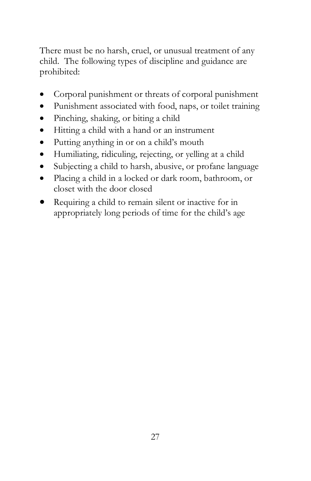There must be no harsh, cruel, or unusual treatment of any child. The following types of discipline and guidance are prohibited:

- Corporal punishment or threats of corporal punishment
- Punishment associated with food, naps, or toilet training
- Pinching, shaking, or biting a child
- Hitting a child with a hand or an instrument
- Putting anything in or on a child's mouth
- Humiliating, ridiculing, rejecting, or yelling at a child
- Subjecting a child to harsh, abusive, or profane language
- Placing a child in a locked or dark room, bathroom, or closet with the door closed
- Requiring a child to remain silent or inactive for in appropriately long periods of time for the child's age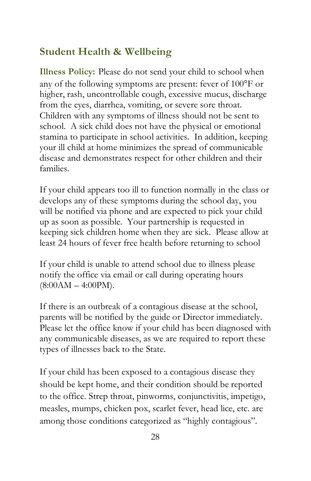### <span id="page-27-0"></span>**Student Health & Wellbeing**

<span id="page-27-1"></span>**Illness Policy:** Please do not send your child to school when any of the following symptoms are present: fever of 100°F or higher, rash, uncontrollable cough, excessive mucus, discharge from the eyes, diarrhea, vomiting, or severe sore throat. Children with any symptoms of illness should not be sent to school. A sick child does not have the physical or emotional stamina to participate in school activities. In addition, keeping your ill child at home minimizes the spread of communicable disease and demonstrates respect for other children and their families.

If your child appears too ill to function normally in the class or develops any of these symptoms during the school day, you will be notified via phone and are expected to pick your child up as soon as possible. Your partnership is requested in keeping sick children home when they are sick. Please allow at least 24 hours of fever free health before returning to school

If your child is unable to attend school due to illness please notify the office via email or call during operating hours  $(8:00AM - 4:00PM)$ .

If there is an outbreak of a contagious disease at the school, parents will be notified by the guide or Director immediately. Please let the office know if your child has been diagnosed with any communicable diseases, as we are required to report these types of illnesses back to the State.

If your child has been exposed to a contagious disease they should be kept home, and their condition should be reported to the office. Strep throat, pinworms, conjunctivitis, impetigo, measles, mumps, chicken pox, scarlet fever, head lice, etc. are among those conditions categorized as "highly contagious".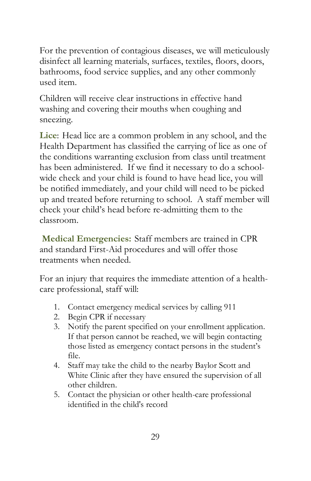For the prevention of contagious diseases, we will meticulously disinfect all learning materials, surfaces, textiles, floors, doors, bathrooms, food service supplies, and any other commonly used item.

Children will receive clear instructions in effective hand washing and covering their mouths when coughing and sneezing.

<span id="page-28-0"></span>**Lice**: Head lice are a common problem in any school, and the Health Department has classified the carrying of lice as one of the conditions warranting exclusion from class until treatment has been administered. If we find it necessary to do a schoolwide check and your child is found to have head lice, you will be notified immediately, and your child will need to be picked up and treated before returning to school. A staff member will check your child's head before re-admitting them to the classroom.

<span id="page-28-1"></span>**Medical Emergencies:** Staff members are trained in CPR and standard First-Aid procedures and will offer those treatments when needed.

For an injury that requires the immediate attention of a healthcare professional, staff will:

- 1. Contact emergency medical services by calling 911
- 2. Begin CPR if necessary
- 3. Notify the parent specified on your enrollment application. If that person cannot be reached, we will begin contacting those listed as emergency contact persons in the student's file.
- 4. Staff may take the child to the nearby Baylor Scott and White Clinic after they have ensured the supervision of all other children.
- 5. Contact the physician or other health-care professional identified in the child's record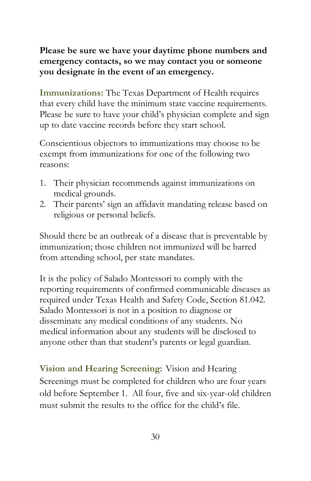**Please be sure we have your daytime phone numbers and emergency contacts, so we may contact you or someone you designate in the event of an emergency.** 

<span id="page-29-0"></span>**Immunizations:** The Texas Department of Health requires that every child have the minimum state vaccine requirements. Please be sure to have your child's physician complete and sign up to date vaccine records before they start school.

Conscientious objectors to immunizations may choose to be exempt from immunizations for one of the following two reasons:

- 1. Their physician recommends against immunizations on medical grounds.
- 2. Their parents' sign an affidavit mandating release based on religious or personal beliefs.

Should there be an outbreak of a disease that is preventable by immunization; those children not immunized will be barred from attending school, per state mandates.

It is the policy of Salado Montessori to comply with the reporting requirements of confirmed communicable diseases as required under Texas Health and Safety Code, Section 81.042. Salado Montessori is not in a position to diagnose or disseminate any medical conditions of any students. No medical information about any students will be disclosed to anyone other than that student's parents or legal guardian.

<span id="page-29-1"></span>**Vision and Hearing Screening:** Vision and Hearing Screenings must be completed for children who are four years old before September 1. All four, five and six-year-old children must submit the results to the office for the child's file.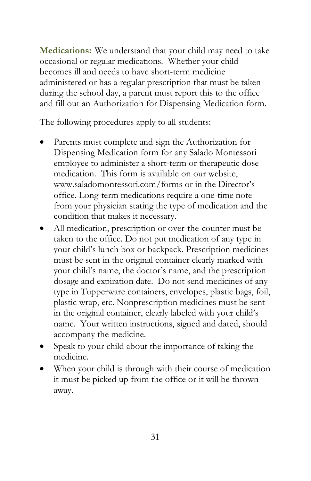<span id="page-30-0"></span>**Medications:** We understand that your child may need to take occasional or regular medications. Whether your child becomes ill and needs to have short-term medicine administered or has a regular prescription that must be taken during the school day, a parent must report this to the office and fill out an Authorization for Dispensing Medication form.

The following procedures apply to all students:

- Parents must complete and sign the Authorization for Dispensing Medication form for any Salado Montessori employee to administer a short-term or therapeutic dose medication. This form is available on our website, www.saladomontessori.com/forms or in the Director's office. Long-term medications require a one-time note from your physician stating the type of medication and the condition that makes it necessary.
- All medication, prescription or over-the-counter must be taken to the office. Do not put medication of any type in your child's lunch box or backpack. Prescription medicines must be sent in the original container clearly marked with your child's name, the doctor's name, and the prescription dosage and expiration date. Do not send medicines of any type in Tupperware containers, envelopes, plastic bags, foil, plastic wrap, etc. Nonprescription medicines must be sent in the original container, clearly labeled with your child's name. Your written instructions, signed and dated, should accompany the medicine.
- Speak to your child about the importance of taking the medicine.
- <span id="page-30-1"></span>When your child is through with their course of medication it must be picked up from the office or it will be thrown away.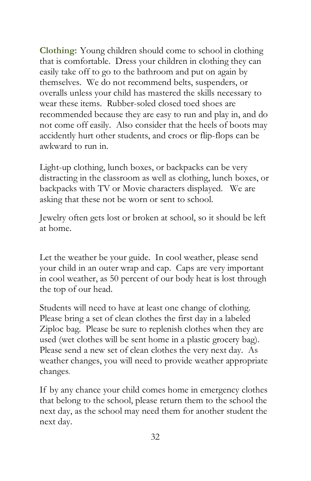**Clothing:** Young children should come to school in clothing that is comfortable. Dress your children in clothing they can easily take off to go to the bathroom and put on again by themselves. We do not recommend belts, suspenders, or overalls unless your child has mastered the skills necessary to wear these items. Rubber-soled closed toed shoes are recommended because they are easy to run and play in, and do not come off easily. Also consider that the heels of boots may accidently hurt other students, and crocs or flip-flops can be awkward to run in.

Light-up clothing, lunch boxes, or backpacks can be very distracting in the classroom as well as clothing, lunch boxes, or backpacks with TV or Movie characters displayed. We are asking that these not be worn or sent to school.

Jewelry often gets lost or broken at school, so it should be left at home.

Let the weather be your guide. In cool weather, please send your child in an outer wrap and cap. Caps are very important in cool weather, as 50 percent of our body heat is lost through the top of our head.

Students will need to have at least one change of clothing. Please bring a set of clean clothes the first day in a labeled Ziploc bag. Please be sure to replenish clothes when they are used (wet clothes will be sent home in a plastic grocery bag). Please send a new set of clean clothes the very next day. As weather changes, you will need to provide weather appropriate changes.

If by any chance your child comes home in emergency clothes that belong to the school, please return them to the school the next day, as the school may need them for another student the next day.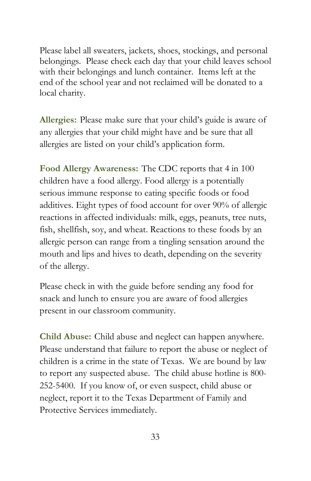Please label all sweaters, jackets, shoes, stockings, and personal belongings. Please check each day that your child leaves school with their belongings and lunch container. Items left at the end of the school year and not reclaimed will be donated to a local charity.

<span id="page-32-0"></span>**Allergies:** Please make sure that your child's guide is aware of any allergies that your child might have and be sure that all allergies are listed on your child's application form.

<span id="page-32-1"></span>**Food Allergy Awareness:** The CDC reports that 4 in 100 children have a food allergy. Food allergy is a potentially serious immune response to eating specific foods or food additives. Eight types of food account for over 90% of allergic reactions in affected individuals: milk, eggs, peanuts, tree nuts, fish, shellfish, soy, and wheat. Reactions to these foods by an allergic person can range from a tingling sensation around the mouth and lips and hives to death, depending on the severity of the allergy.

Please check in with the guide before sending any food for snack and lunch to ensure you are aware of food allergies present in our classroom community.

<span id="page-32-2"></span>**Child Abuse:** Child abuse and neglect can happen anywhere. Please understand that failure to report the abuse or neglect of children is a crime in the state of Texas. We are bound by law to report any suspected abuse. The child abuse hotline is 800- 252-5400. If you know of, or even suspect, child abuse or neglect, report it to the Texas Department of Family and Protective Services immediately.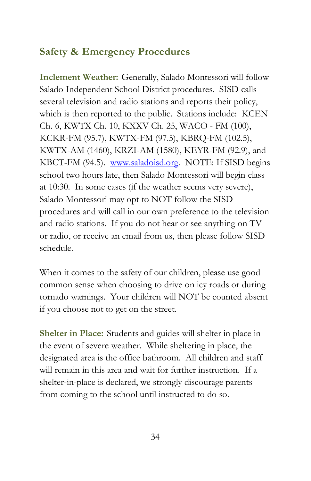### <span id="page-33-0"></span>**Safety & Emergency Procedures**

<span id="page-33-1"></span>**Inclement Weather:** Generally, Salado Montessori will follow Salado Independent School District procedures. SISD calls several television and radio stations and reports their policy, which is then reported to the public. Stations include: KCEN Ch. 6, KWTX Ch. 10, KXXV Ch. 25, WACO - FM (100), KCKR-FM (95.7), KWTX-FM (97.5), KBRQ-FM (102.5), KWTX-AM (1460), KRZI-AM (1580), KEYR-FM (92.9), and KBCT-FM (94.5). [www.saladoisd.org.](http://www.saladoisd.org/) NOTE: If SISD begins school two hours late, then Salado Montessori will begin class at 10:30. In some cases (if the weather seems very severe), Salado Montessori may opt to NOT follow the SISD procedures and will call in our own preference to the television and radio stations. If you do not hear or see anything on TV or radio, or receive an email from us, then please follow SISD schedule.

When it comes to the safety of our children, please use good common sense when choosing to drive on icy roads or during tornado warnings. Your children will NOT be counted absent if you choose not to get on the street.

<span id="page-33-2"></span>**Shelter in Place:** Students and guides will shelter in place in the event of severe weather. While sheltering in place, the designated area is the office bathroom. All children and staff will remain in this area and wait for further instruction. If a shelter-in-place is declared, we strongly discourage parents from coming to the school until instructed to do so.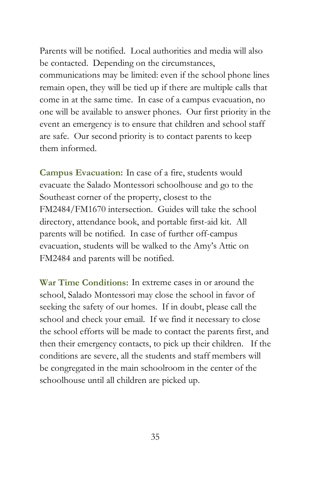Parents will be notified. Local authorities and media will also be contacted. Depending on the circumstances, communications may be limited: even if the school phone lines remain open, they will be tied up if there are multiple calls that come in at the same time. In case of a campus evacuation, no one will be available to answer phones. Our first priority in the event an emergency is to ensure that children and school staff are safe. Our second priority is to contact parents to keep them informed.

<span id="page-34-0"></span>**Campus Evacuation:** In case of a fire, students would evacuate the Salado Montessori schoolhouse and go to the Southeast corner of the property, closest to the FM2484/FM1670 intersection. Guides will take the school directory, attendance book, and portable first-aid kit. All parents will be notified. In case of further off-campus evacuation, students will be walked to the Amy's Attic on FM2484 and parents will be notified.

<span id="page-34-1"></span>**War Time Conditions:** In extreme cases in or around the school, Salado Montessori may close the school in favor of seeking the safety of our homes. If in doubt, please call the school and check your email. If we find it necessary to close the school efforts will be made to contact the parents first, and then their emergency contacts, to pick up their children. If the conditions are severe, all the students and staff members will be congregated in the main schoolroom in the center of the schoolhouse until all children are picked up.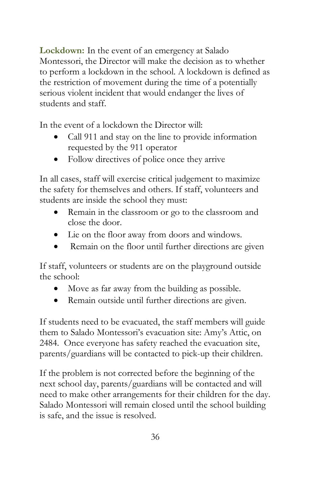<span id="page-35-0"></span>**Lockdown:** In the event of an emergency at Salado Montessori, the Director will make the decision as to whether to perform a lockdown in the school. A lockdown is defined as the restriction of movement during the time of a potentially serious violent incident that would endanger the lives of students and staff.

In the event of a lockdown the Director will:

- Call 911 and stay on the line to provide information requested by the 911 operator
- Follow directives of police once they arrive

In all cases, staff will exercise critical judgement to maximize the safety for themselves and others. If staff, volunteers and students are inside the school they must:

- Remain in the classroom or go to the classroom and close the door.
- Lie on the floor away from doors and windows.
- Remain on the floor until further directions are given

If staff, volunteers or students are on the playground outside the school:

- Move as far away from the building as possible.
- Remain outside until further directions are given.

If students need to be evacuated, the staff members will guide them to Salado Montessori's evacuation site: Amy's Attic, on 2484. Once everyone has safety reached the evacuation site, parents/guardians will be contacted to pick-up their children.

If the problem is not corrected before the beginning of the next school day, parents/guardians will be contacted and will need to make other arrangements for their children for the day. Salado Montessori will remain closed until the school building is safe, and the issue is resolved.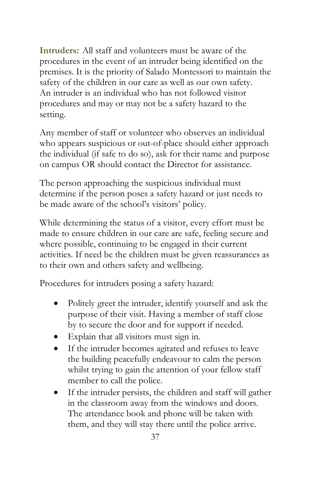<span id="page-36-0"></span>**Intruders:** All staff and volunteers must be aware of the procedures in the event of an intruder being identified on the premises. It is the priority of Salado Montessori to maintain the safety of the children in our care as well as our own safety. An intruder is an individual who has not followed visitor procedures and may or may not be a safety hazard to the setting.

Any member of staff or volunteer who observes an individual who appears suspicious or out-of-place should either approach the individual (if safe to do so), ask for their name and purpose on campus OR should contact the Director for assistance.

The person approaching the suspicious individual must determine if the person poses a safety hazard or just needs to be made aware of the school's visitors' policy.

While determining the status of a visitor, every effort must be made to ensure children in our care are safe, feeling secure and where possible, continuing to be engaged in their current activities. If need be the children must be given reassurances as to their own and others safety and wellbeing.

Procedures for intruders posing a safety hazard:

- Politely greet the intruder, identify yourself and ask the purpose of their visit. Having a member of staff close by to secure the door and for support if needed.
- Explain that all visitors must sign in.
- If the intruder becomes agitated and refuses to leave the building peacefully endeavour to calm the person whilst trying to gain the attention of your fellow staff member to call the police.
- If the intruder persists, the children and staff will gather in the classroom away from the windows and doors. The attendance book and phone will be taken with them, and they will stay there until the police arrive.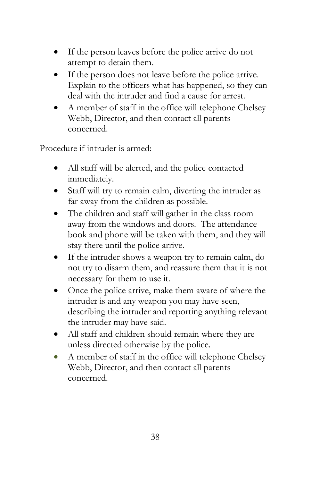- If the person leaves before the police arrive do not attempt to detain them.
- If the person does not leave before the police arrive. Explain to the officers what has happened, so they can deal with the intruder and find a cause for arrest.
- A member of staff in the office will telephone Chelsey Webb, Director, and then contact all parents concerned.

Procedure if intruder is armed:

- All staff will be alerted, and the police contacted immediately.
- Staff will try to remain calm, diverting the intruder as far away from the children as possible.
- The children and staff will gather in the class room away from the windows and doors. The attendance book and phone will be taken with them, and they will stay there until the police arrive.
- If the intruder shows a weapon try to remain calm, do not try to disarm them, and reassure them that it is not necessary for them to use it.
- Once the police arrive, make them aware of where the intruder is and any weapon you may have seen, describing the intruder and reporting anything relevant the intruder may have said.
- All staff and children should remain where they are unless directed otherwise by the police.
- A member of staff in the office will telephone Chelsey Webb, Director, and then contact all parents concerned.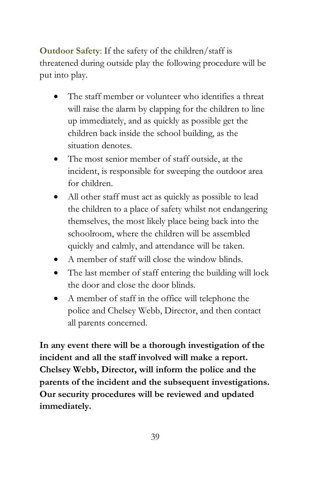<span id="page-38-0"></span>**Outdoor Safety**: If the safety of the children/staff is threatened during outside play the following procedure will be put into play.

- The staff member or volunteer who identifies a threat will raise the alarm by clapping for the children to line up immediately, and as quickly as possible get the children back inside the school building, as the situation denotes.
- The most senior member of staff outside, at the incident, is responsible for sweeping the outdoor area for children.
- All other staff must act as quickly as possible to lead the children to a place of safety whilst not endangering themselves, the most likely place being back into the schoolroom, where the children will be assembled quickly and calmly, and attendance will be taken.
- A member of staff will close the window blinds.
- The last member of staff entering the building will lock the door and close the door blinds.
- A member of staff in the office will telephone the police and Chelsey Webb, Director, and then contact all parents concerned.

**In any event there will be a thorough investigation of the incident and all the staff involved will make a report. Chelsey Webb, Director, will inform the police and the parents of the incident and the subsequent investigations. Our security procedures will be reviewed and updated immediately.**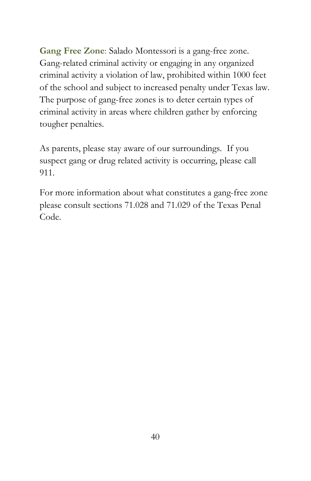<span id="page-39-0"></span>**Gang Free Zone**: Salado Montessori is a gang-free zone. Gang-related criminal activity or engaging in any organized criminal activity a violation of law, prohibited within 1000 feet of the school and subject to increased penalty under Texas law. The purpose of gang-free zones is to deter certain types of criminal activity in areas where children gather by enforcing tougher penalties.

As parents, please stay aware of our surroundings. If you suspect gang or drug related activity is occurring, please call 911.

For more information about what constitutes a gang-free zone please consult sections 71.028 and 71.029 of the Texas Penal Code.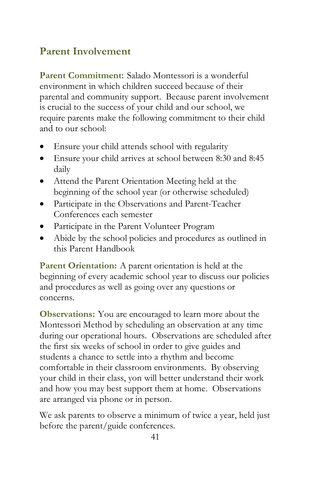## <span id="page-40-0"></span>**Parent Involvement**

<span id="page-40-1"></span>**Parent Commitment:** Salado Montessori is a wonderful environment in which children succeed because of their parental and community support. Because parent involvement is crucial to the success of your child and our school, we require parents make the following commitment to their child and to our school:

- Ensure your child attends school with regularity
- Ensure your child arrives at school between 8:30 and 8:45 daily
- Attend the Parent Orientation Meeting held at the beginning of the school year (or otherwise scheduled)
- Participate in the Observations and Parent-Teacher Conferences each semester
- Participate in the Parent Volunteer Program
- Abide by the school policies and procedures as outlined in this Parent Handbook

<span id="page-40-2"></span>**Parent Orientation:** A parent orientation is held at the beginning of every academic school year to discuss our policies and procedures as well as going over any questions or concerns.

<span id="page-40-3"></span>**Observations:** You are encouraged to learn more about the Montessori Method by scheduling an observation at any time during our operational hours. Observations are scheduled after the first six weeks of school in order to give guides and students a chance to settle into a rhythm and become comfortable in their classroom environments. By observing your child in their class, yon will better understand their work and how you may best support them at home. Observations are arranged via phone or in person.

We ask parents to observe a minimum of twice a year, held just before the parent/guide conferences.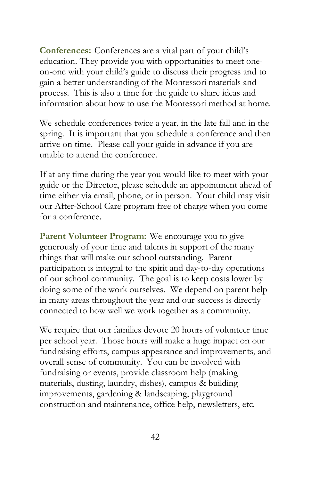<span id="page-41-0"></span>**Conferences:** Conferences are a vital part of your child's education. They provide you with opportunities to meet oneon-one with your child's guide to discuss their progress and to gain a better understanding of the Montessori materials and process. This is also a time for the guide to share ideas and information about how to use the Montessori method at home.

We schedule conferences twice a year, in the late fall and in the spring. It is important that you schedule a conference and then arrive on time. Please call your guide in advance if you are unable to attend the conference.

If at any time during the year you would like to meet with your guide or the Director, please schedule an appointment ahead of time either via email, phone, or in person. Your child may visit our After-School Care program free of charge when you come for a conference.

<span id="page-41-1"></span>Parent Volunteer Program: We encourage you to give generously of your time and talents in support of the many things that will make our school outstanding. Parent participation is integral to the spirit and day-to-day operations of our school community. The goal is to keep costs lower by doing some of the work ourselves. We depend on parent help in many areas throughout the year and our success is directly connected to how well we work together as a community.

We require that our families devote 20 hours of volunteer time per school year. Those hours will make a huge impact on our fundraising efforts, campus appearance and improvements, and overall sense of community. You can be involved with fundraising or events, provide classroom help (making materials, dusting, laundry, dishes), campus & building improvements, gardening & landscaping, playground construction and maintenance, office help, newsletters, etc.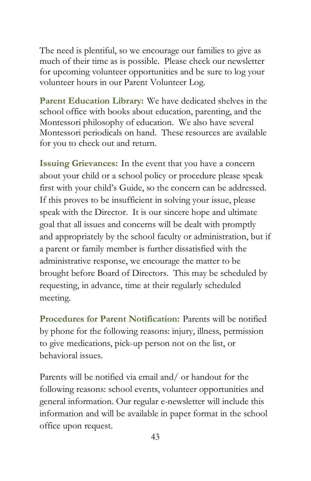The need is plentiful, so we encourage our families to give as much of their time as is possible. Please check our newsletter for upcoming volunteer opportunities and be sure to log your volunteer hours in our Parent Volunteer Log.

<span id="page-42-0"></span>**Parent Education Library:** We have dedicated shelves in the school office with books about education, parenting, and the Montessori philosophy of education. We also have several Montessori periodicals on hand. These resources are available for you to check out and return.

<span id="page-42-1"></span>**Issuing Grievances:** In the event that you have a concern about your child or a school policy or procedure please speak first with your child's Guide, so the concern can be addressed. If this proves to be insufficient in solving your issue, please speak with the Director. It is our sincere hope and ultimate goal that all issues and concerns will be dealt with promptly and appropriately by the school faculty or administration, but if a parent or family member is further dissatisfied with the administrative response, we encourage the matter to be brought before Board of Directors. This may be scheduled by requesting, in advance, time at their regularly scheduled meeting.

<span id="page-42-2"></span>**Procedures for Parent Notification:** Parents will be notified by phone for the following reasons: injury, illness, permission to give medications, pick-up person not on the list, or behavioral issues.

Parents will be notified via email and/ or handout for the following reasons: school events, volunteer opportunities and general information. Our regular e-newsletter will include this information and will be available in paper format in the school office upon request.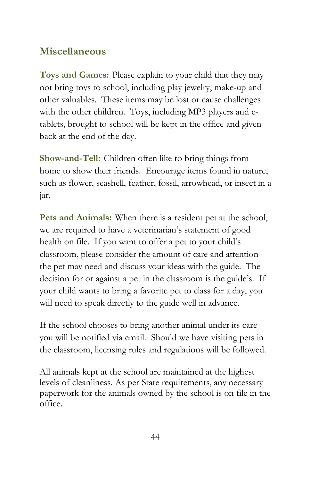### <span id="page-43-0"></span>**Miscellaneous**

<span id="page-43-1"></span>**Toys and Games:** Please explain to your child that they may not bring toys to school, including play jewelry, make-up and other valuables. These items may be lost or cause challenges with the other children. Toys, including MP3 players and etablets, brought to school will be kept in the office and given back at the end of the day.

<span id="page-43-2"></span>**Show-and-Tell:** Children often like to bring things from home to show their friends. Encourage items found in nature, such as flower, seashell, feather, fossil, arrowhead, or insect in a jar.

<span id="page-43-3"></span>**Pets and Animals:** When there is a resident pet at the school, we are required to have a veterinarian's statement of good health on file. If you want to offer a pet to your child's classroom, please consider the amount of care and attention the pet may need and discuss your ideas with the guide. The decision for or against a pet in the classroom is the guide's. If your child wants to bring a favorite pet to class for a day, you will need to speak directly to the guide well in advance.

If the school chooses to bring another animal under its care you will be notified via email. Should we have visiting pets in the classroom, licensing rules and regulations will be followed.

All animals kept at the school are maintained at the highest levels of cleanliness. As per State requirements, any necessary paperwork for the animals owned by the school is on file in the office.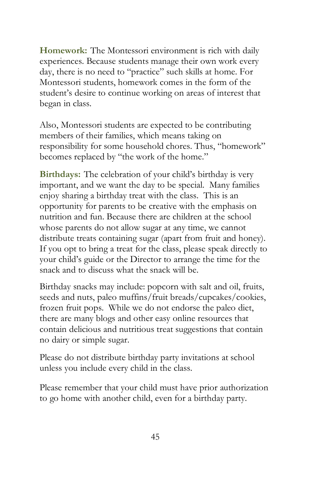<span id="page-44-0"></span>**Homework:** The Montessori environment is rich with daily experiences. Because students manage their own work every day, there is no need to "practice" such skills at home. For Montessori students, homework comes in the form of the student's desire to continue working on areas of interest that began in class.

Also, Montessori students are expected to be contributing members of their families, which means taking on responsibility for some household chores. Thus, "homework" becomes replaced by "the work of the home."

<span id="page-44-1"></span>**Birthdays:** The celebration of your child's birthday is very important, and we want the day to be special. Many families enjoy sharing a birthday treat with the class. This is an opportunity for parents to be creative with the emphasis on nutrition and fun. Because there are children at the school whose parents do not allow sugar at any time, we cannot distribute treats containing sugar (apart from fruit and honey). If you opt to bring a treat for the class, please speak directly to your child's guide or the Director to arrange the time for the snack and to discuss what the snack will be.

Birthday snacks may include: popcorn with salt and oil, fruits, seeds and nuts, paleo muffins/fruit breads/cupcakes/cookies, frozen fruit pops. While we do not endorse the paleo diet, there are many blogs and other easy online resources that contain delicious and nutritious treat suggestions that contain no dairy or simple sugar.

Please do not distribute birthday party invitations at school unless you include every child in the class.

Please remember that your child must have prior authorization to go home with another child, even for a birthday party.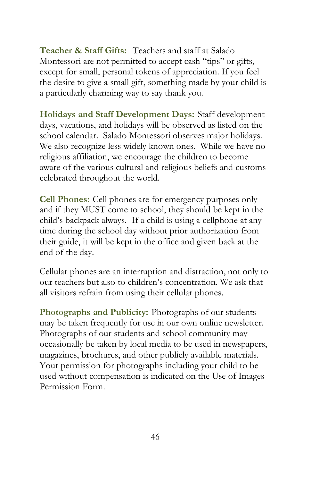<span id="page-45-0"></span>**Teacher & Staff Gifts:** Teachers and staff at Salado Montessori are not permitted to accept cash "tips" or gifts, except for small, personal tokens of appreciation. If you feel the desire to give a small gift, something made by your child is a particularly charming way to say thank you.

<span id="page-45-1"></span>**Holidays and Staff Development Days:** Staff development days, vacations, and holidays will be observed as listed on the school calendar. Salado Montessori observes major holidays. We also recognize less widely known ones. While we have no religious affiliation, we encourage the children to become aware of the various cultural and religious beliefs and customs celebrated throughout the world.

<span id="page-45-2"></span>**Cell Phones:** Cell phones are for emergency purposes only and if they MUST come to school, they should be kept in the child's backpack always. If a child is using a cellphone at any time during the school day without prior authorization from their guide, it will be kept in the office and given back at the end of the day.

Cellular phones are an interruption and distraction, not only to our teachers but also to children's concentration. We ask that all visitors refrain from using their cellular phones.

<span id="page-45-3"></span>**Photographs and Publicity:** Photographs of our students may be taken frequently for use in our own online newsletter. Photographs of our students and school community may occasionally be taken by local media to be used in newspapers, magazines, brochures, and other publicly available materials. Your permission for photographs including your child to be used without compensation is indicated on the Use of Images Permission Form.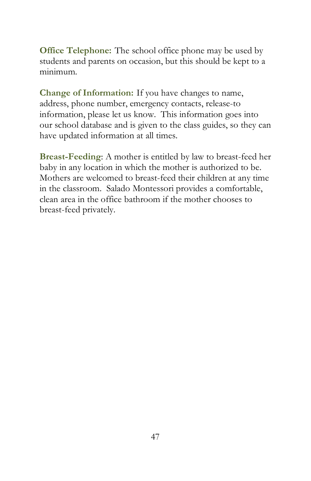<span id="page-46-0"></span>**Office Telephone:** The school office phone may be used by students and parents on occasion, but this should be kept to a minimum.

<span id="page-46-1"></span>**Change of Information:** If you have changes to name, address, phone number, emergency contacts, release-to information, please let us know. This information goes into our school database and is given to the class guides, so they can have updated information at all times.

<span id="page-46-2"></span>**Breast-Feeding**: A mother is entitled by law to breast-feed her baby in any location in which the mother is authorized to be. Mothers are welcomed to breast-feed their children at any time in the classroom. Salado Montessori provides a comfortable, clean area in the office bathroom if the mother chooses to breast-feed privately.